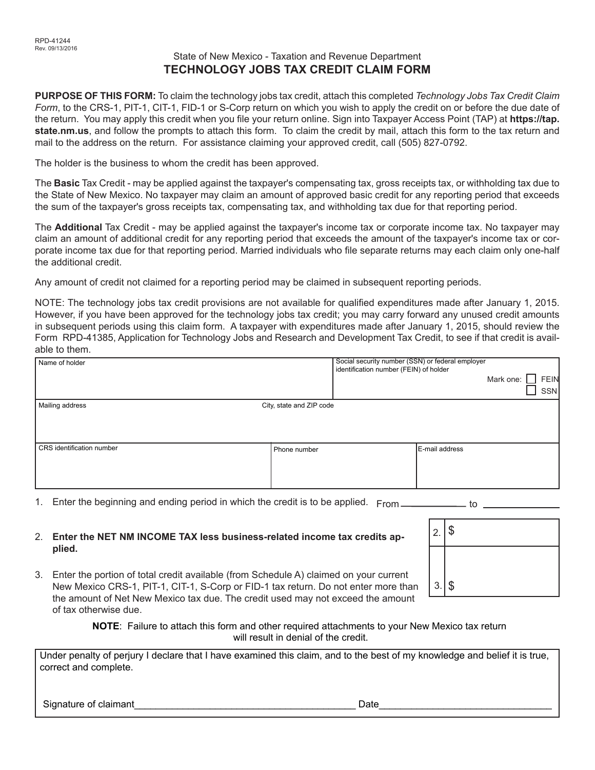## State of New Mexico - Taxation and Revenue Department **TECHNOLOGY JOBS TAX CREDIT CLAIM FORM**

**PURPOSE OF THIS FORM:** To claim the technology jobs tax credit, attach this completed *Technology Jobs Tax Credit Claim Form*, to the CRS-1, PIT-1, CIT-1, FID-1 or S-Corp return on which you wish to apply the credit on or before the due date of the return. You may apply this credit when you file your return online. Sign into Taxpayer Access Point (TAP) at **https://tap. state.nm.us**, and follow the prompts to attach this form. To claim the credit by mail, attach this form to the tax return and mail to the address on the return. For assistance claiming your approved credit, call (505) 827-0792.

The holder is the business to whom the credit has been approved.

The **Basic** Tax Credit - may be applied against the taxpayer's compensating tax, gross receipts tax, or withholding tax due to the State of New Mexico. No taxpayer may claim an amount of approved basic credit for any reporting period that exceeds the sum of the taxpayer's gross receipts tax, compensating tax, and withholding tax due for that reporting period.

The **Additional** Tax Credit - may be applied against the taxpayer's income tax or corporate income tax. No taxpayer may claim an amount of additional credit for any reporting period that exceeds the amount of the taxpayer's income tax or corporate income tax due for that reporting period. Married individuals who file separate returns may each claim only one-half the additional credit.

Any amount of credit not claimed for a reporting period may be claimed in subsequent reporting periods.

NOTE: The technology jobs tax credit provisions are not available for qualified expenditures made after January 1, 2015. However, if you have been approved for the technology jobs tax credit; you may carry forward any unused credit amounts in subsequent periods using this claim form. A taxpayer with expenditures made after January 1, 2015, should review the Form RPD-41385, Application for Technology Jobs and Research and Development Tax Credit, to see if that credit is available to them.

| Name of holder            |                          | Social security number (SSN) or federal employer<br>identification number (FEIN) of holder |                | Mark one: | <b>FEIN</b><br>SSN |
|---------------------------|--------------------------|--------------------------------------------------------------------------------------------|----------------|-----------|--------------------|
| Mailing address           | City, state and ZIP code |                                                                                            |                |           |                    |
| CRS identification number | Phone number             |                                                                                            | E-mail address |           |                    |

1. Enter the beginning and ending period in which the credit is to be applied. From \_\_\_\_\_\_\_\_\_\_\_\_\_ to

#### 2. **Enter the NET NM INCOME TAX less business-related income tax credits applied.**

3. Enter the portion of total credit available (from Schedule A) claimed on your current New Mexico CRS-1, PIT-1, CIT-1, S-Corp or FID-1 tax return. Do not enter more than the amount of Net New Mexico tax due. The credit used may not exceed the amount of tax otherwise due.

| 2.1      |  |
|----------|--|
|          |  |
| $3.1$ \$ |  |

**NOTE**: Failure to attach this form and other required attachments to your New Mexico tax return will result in denial of the credit.

Under penalty of perjury I declare that I have examined this claim, and to the best of my knowledge and belief it is true, correct and complete.

Signature of claimant\_\_\_\_\_\_\_\_\_\_\_\_\_\_\_\_\_\_\_\_\_\_\_\_\_\_\_\_\_\_\_\_\_\_\_\_\_\_\_\_\_ Date\_\_\_\_\_\_\_\_\_\_\_\_\_\_\_\_\_\_\_\_\_\_\_\_\_\_\_\_\_\_\_\_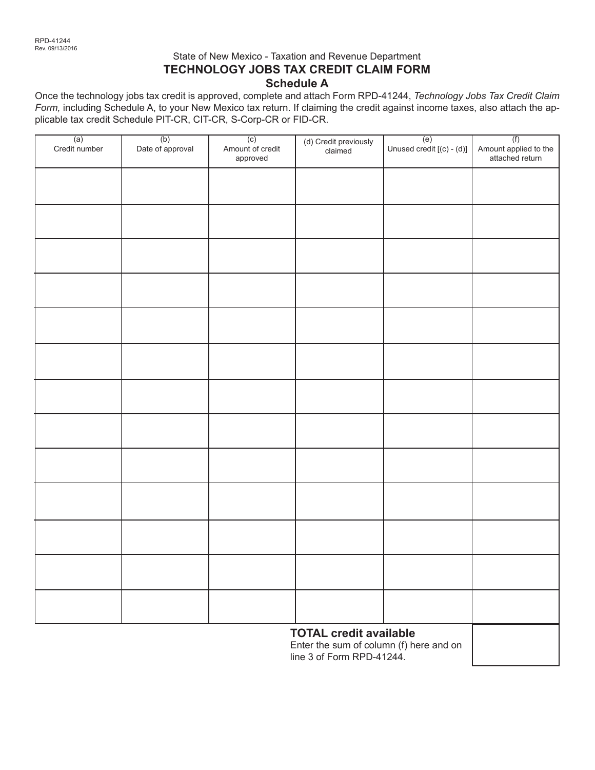## State of New Mexico - Taxation and Revenue Department **TECHNOLOGY JOBS TAX CREDIT CLAIM FORM Schedule A**

Once the technology jobs tax credit is approved, complete and attach Form RPD-41244, *Technology Jobs Tax Credit Claim Form,* including Schedule A, to your New Mexico tax return. If claiming the credit against income taxes, also attach the applicable tax credit Schedule PIT-CR, CIT-CR, S-Corp-CR or FID-CR.

| $\overline{a}$<br>Credit number | (b)<br>Date of approval | $\overline{(c)}$<br>Amount of credit<br>approved | (d) Credit previously<br>claimed | $\overline{(e)}$<br>Unused credit [(c) - (d)] | (f)<br>Amount applied to the<br>attached return |
|---------------------------------|-------------------------|--------------------------------------------------|----------------------------------|-----------------------------------------------|-------------------------------------------------|
|                                 |                         |                                                  |                                  |                                               |                                                 |
|                                 |                         |                                                  |                                  |                                               |                                                 |
|                                 |                         |                                                  |                                  |                                               |                                                 |
|                                 |                         |                                                  |                                  |                                               |                                                 |
|                                 |                         |                                                  |                                  |                                               |                                                 |
|                                 |                         |                                                  |                                  |                                               |                                                 |
|                                 |                         |                                                  |                                  |                                               |                                                 |
|                                 |                         |                                                  |                                  |                                               |                                                 |
|                                 |                         |                                                  |                                  |                                               |                                                 |
|                                 |                         |                                                  |                                  |                                               |                                                 |
|                                 |                         |                                                  |                                  |                                               |                                                 |
|                                 |                         |                                                  |                                  |                                               |                                                 |
|                                 |                         |                                                  |                                  |                                               |                                                 |
|                                 |                         |                                                  | <b>TOTAL credit available</b>    |                                               |                                                 |

Enter the sum of column (f) here and on line 3 of Form RPD-41244.